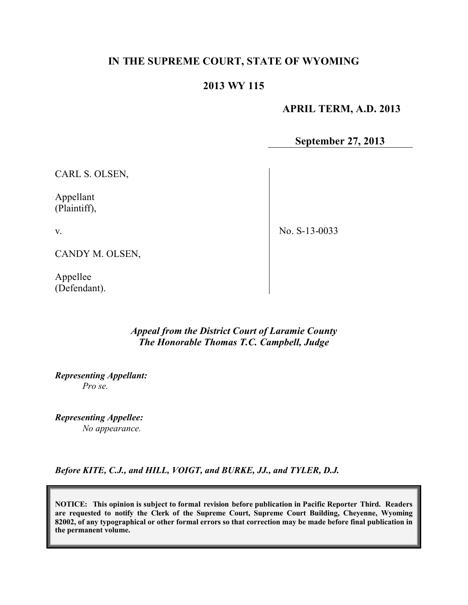# **IN THE SUPREME COURT, STATE OF WYOMING**

## **2013 WY 115**

 **APRIL TERM, A.D. 2013**

**September 27, 2013**

CARL S. OLSEN,

Appellant (Plaintiff),

v.

No. S-13-0033

CANDY M. OLSEN,

Appellee (Defendant).

> *Appeal from the District Court of Laramie County The Honorable Thomas T.C. Campbell, Judge*

*Representing Appellant: Pro se.*

*Representing Appellee: No appearance.*

*Before KITE, C.J., and HILL, VOIGT, and BURKE, JJ., and TYLER, D.J.*

**NOTICE: This opinion is subject to formal revision before publication in Pacific Reporter Third. Readers are requested to notify the Clerk of the Supreme Court, Supreme Court Building, Cheyenne, Wyoming 82002, of any typographical or other formal errors so that correction may be made before final publication in the permanent volume.**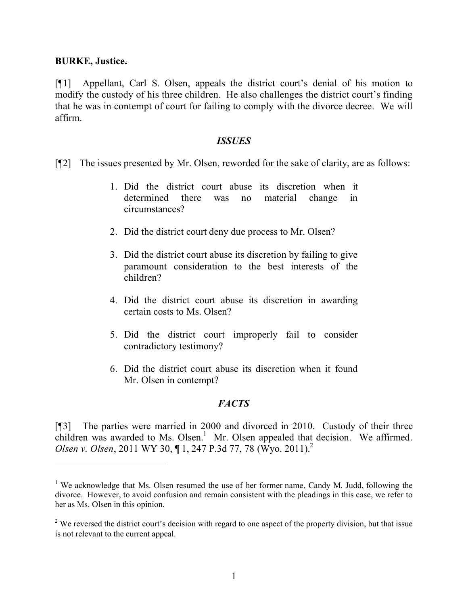### **BURKE, Justice.**

 $\overline{a}$ 

[¶1] Appellant, Carl S. Olsen, appeals the district court's denial of his motion to modify the custody of his three children. He also challenges the district court's finding that he was in contempt of court for failing to comply with the divorce decree. We will affirm.

#### *ISSUES*

[¶2] The issues presented by Mr. Olsen, reworded for the sake of clarity, are as follows:

- 1. Did the district court abuse its discretion when it determined there was no material change in circumstances?
- 2. Did the district court deny due process to Mr. Olsen?
- 3. Did the district court abuse its discretion by failing to give paramount consideration to the best interests of the children?
- 4. Did the district court abuse its discretion in awarding certain costs to Ms. Olsen?
- 5. Did the district court improperly fail to consider contradictory testimony?
- 6. Did the district court abuse its discretion when it found Mr. Olsen in contempt?

## *FACTS*

[¶3] The parties were married in 2000 and divorced in 2010. Custody of their three children was awarded to Ms. Olsen.<sup>1</sup> Mr. Olsen appealed that decision. We affirmed. *Olsen v. Olsen,* 2011 WY 30, ¶ 1, 247 P.3d 77, 78 (Wyo. 2011).<sup>2</sup>

<sup>&</sup>lt;sup>1</sup> We acknowledge that Ms. Olsen resumed the use of her former name, Candy M. Judd, following the divorce. However, to avoid confusion and remain consistent with the pleadings in this case, we refer to her as Ms. Olsen in this opinion.

<sup>&</sup>lt;sup>2</sup> We reversed the district court's decision with regard to one aspect of the property division, but that issue is not relevant to the current appeal.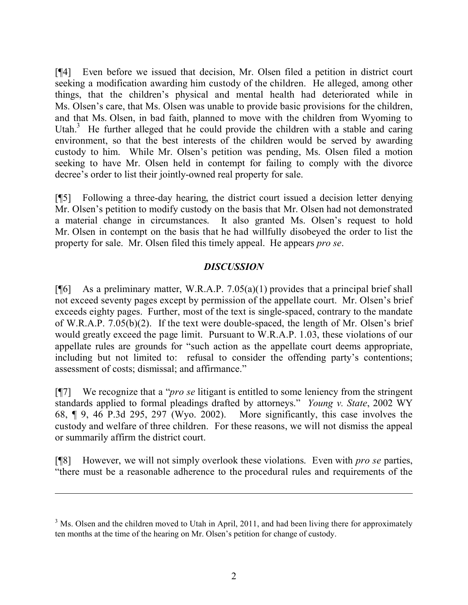[¶4] Even before we issued that decision, Mr. Olsen filed a petition in district court seeking a modification awarding him custody of the children. He alleged, among other things, that the children's physical and mental health had deteriorated while in Ms. Olsen's care, that Ms. Olsen was unable to provide basic provisions for the children, and that Ms. Olsen, in bad faith, planned to move with the children from Wyoming to Utah. $3$  He further alleged that he could provide the children with a stable and caring environment, so that the best interests of the children would be served by awarding custody to him. While Mr. Olsen's petition was pending, Ms. Olsen filed a motion seeking to have Mr. Olsen held in contempt for failing to comply with the divorce decree's order to list their jointly-owned real property for sale.

[¶5] Following a three-day hearing, the district court issued a decision letter denying Mr. Olsen's petition to modify custody on the basis that Mr. Olsen had not demonstrated a material change in circumstances. It also granted Ms. Olsen's request to hold Mr. Olsen in contempt on the basis that he had willfully disobeyed the order to list the property for sale. Mr. Olsen filed this timely appeal. He appears *pro se*.

## *DISCUSSION*

[ $[$ [6] As a preliminary matter, W.R.A.P. 7.05(a)(1) provides that a principal brief shall not exceed seventy pages except by permission of the appellate court. Mr. Olsen's brief exceeds eighty pages. Further, most of the text is single-spaced, contrary to the mandate of W.R.A.P. 7.05(b)(2). If the text were double-spaced, the length of Mr. Olsen's brief would greatly exceed the page limit. Pursuant to W.R.A.P. 1.03, these violations of our appellate rules are grounds for "such action as the appellate court deems appropriate, including but not limited to: refusal to consider the offending party's contentions; assessment of costs; dismissal; and affirmance."

[¶7] We recognize that a "*pro se* litigant is entitled to some leniency from the stringent standards applied to formal pleadings drafted by attorneys." *Young v. State*, 2002 WY 68, ¶ 9, 46 P.3d 295, 297 (Wyo. 2002). More significantly, this case involves the custody and welfare of three children. For these reasons, we will not dismiss the appeal or summarily affirm the district court.

[¶8] However, we will not simply overlook these violations. Even with *pro se* parties, "there must be a reasonable adherence to the procedural rules and requirements of the

<sup>&</sup>lt;sup>3</sup> Ms. Olsen and the children moved to Utah in April, 2011, and had been living there for approximately ten months at the time of the hearing on Mr. Olsen's petition for change of custody.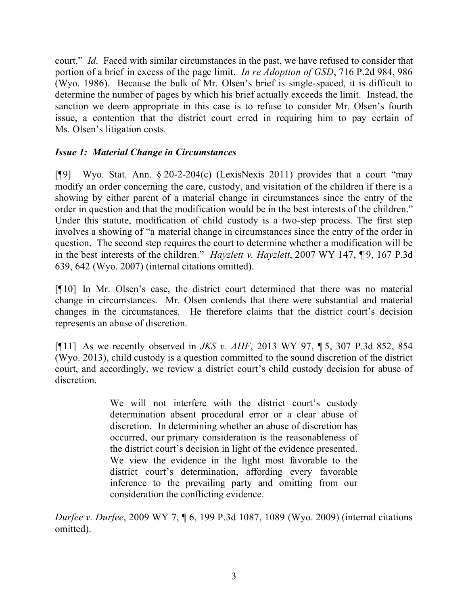court." *Id*. Faced with similar circumstances in the past, we have refused to consider that portion of a brief in excess of the page limit. *In re Adoption of GSD*, 716 P.2d 984, 986 (Wyo. 1986). Because the bulk of Mr. Olsen's brief is single-spaced, it is difficult to determine the number of pages by which his brief actually exceeds the limit. Instead, the sanction we deem appropriate in this case is to refuse to consider Mr. Olsen's fourth issue, a contention that the district court erred in requiring him to pay certain of Ms. Olsen's litigation costs.

# *Issue 1: Material Change in Circumstances*

[¶9] Wyo. Stat. Ann. § 20-2-204(c) (LexisNexis 2011) provides that a court "may modify an order concerning the care, custody, and visitation of the children if there is a showing by either parent of a material change in circumstances since the entry of the order in question and that the modification would be in the best interests of the children." Under this statute, modification of child custody is a two-step process. The first step involves a showing of "a material change in circumstances since the entry of the order in question. The second step requires the court to determine whether a modification will be in the best interests of the children." *Hayzlett v. Hayzlett*, 2007 WY 147, ¶ 9, 167 P.3d 639, 642 (Wyo. 2007) (internal citations omitted).

[¶10] In Mr. Olsen's case, the district court determined that there was no material change in circumstances. Mr. Olsen contends that there were substantial and material changes in the circumstances. He therefore claims that the district court's decision represents an abuse of discretion.

[¶11] As we recently observed in *JKS v. AHF*, 2013 WY 97, ¶ 5, 307 P.3d 852, 854 (Wyo. 2013), child custody is a question committed to the sound discretion of the district court, and accordingly, we review a district court's child custody decision for abuse of discretion.

> We will not interfere with the district court's custody determination absent procedural error or a clear abuse of discretion. In determining whether an abuse of discretion has occurred, our primary consideration is the reasonableness of the district court's decision in light of the evidence presented. We view the evidence in the light most favorable to the district court's determination, affording every favorable inference to the prevailing party and omitting from our consideration the conflicting evidence.

*Durfee v. Durfee*, 2009 WY 7, ¶ 6, 199 P.3d 1087, 1089 (Wyo. 2009) (internal citations omitted).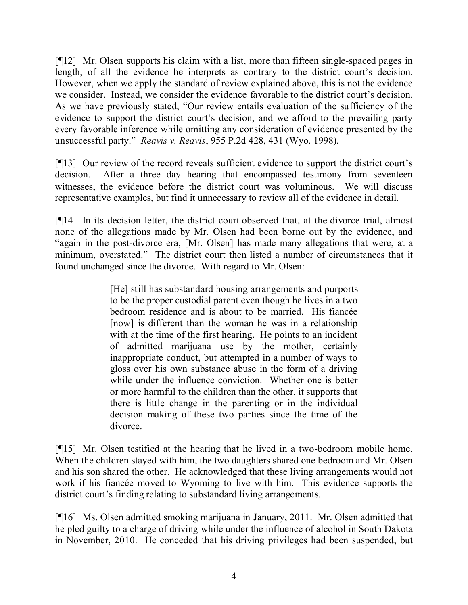[¶12] Mr. Olsen supports his claim with a list, more than fifteen single-spaced pages in length, of all the evidence he interprets as contrary to the district court's decision. However, when we apply the standard of review explained above, this is not the evidence we consider. Instead, we consider the evidence favorable to the district court's decision. As we have previously stated, "Our review entails evaluation of the sufficiency of the evidence to support the district court's decision, and we afford to the prevailing party every favorable inference while omitting any consideration of evidence presented by the unsuccessful party." *Reavis v. Reavis*, 955 P.2d 428, 431 (Wyo. 1998).

[¶13] Our review of the record reveals sufficient evidence to support the district court's decision. After a three day hearing that encompassed testimony from seventeen witnesses, the evidence before the district court was voluminous. We will discuss representative examples, but find it unnecessary to review all of the evidence in detail.

[¶14] In its decision letter, the district court observed that, at the divorce trial, almost none of the allegations made by Mr. Olsen had been borne out by the evidence, and "again in the post-divorce era, [Mr. Olsen] has made many allegations that were, at a minimum, overstated." The district court then listed a number of circumstances that it found unchanged since the divorce. With regard to Mr. Olsen:

> [He] still has substandard housing arrangements and purports to be the proper custodial parent even though he lives in a two bedroom residence and is about to be married. His fiancée [now] is different than the woman he was in a relationship with at the time of the first hearing. He points to an incident of admitted marijuana use by the mother, certainly inappropriate conduct, but attempted in a number of ways to gloss over his own substance abuse in the form of a driving while under the influence conviction. Whether one is better or more harmful to the children than the other, it supports that there is little change in the parenting or in the individual decision making of these two parties since the time of the divorce.

[¶15] Mr. Olsen testified at the hearing that he lived in a two-bedroom mobile home. When the children stayed with him, the two daughters shared one bedroom and Mr. Olsen and his son shared the other. He acknowledged that these living arrangements would not work if his fiancée moved to Wyoming to live with him. This evidence supports the district court's finding relating to substandard living arrangements.

[¶16] Ms. Olsen admitted smoking marijuana in January, 2011. Mr. Olsen admitted that he pled guilty to a charge of driving while under the influence of alcohol in South Dakota in November, 2010. He conceded that his driving privileges had been suspended, but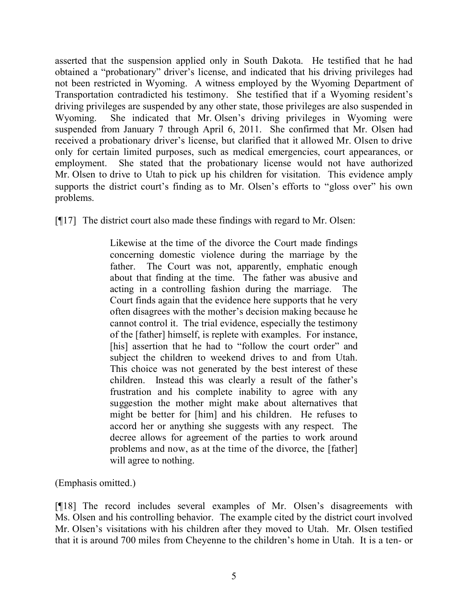asserted that the suspension applied only in South Dakota. He testified that he had obtained a "probationary" driver's license, and indicated that his driving privileges had not been restricted in Wyoming. A witness employed by the Wyoming Department of Transportation contradicted his testimony. She testified that if a Wyoming resident's driving privileges are suspended by any other state, those privileges are also suspended in Wyoming. She indicated that Mr. Olsen's driving privileges in Wyoming were suspended from January 7 through April 6, 2011. She confirmed that Mr. Olsen had received a probationary driver's license, but clarified that it allowed Mr. Olsen to drive only for certain limited purposes, such as medical emergencies, court appearances, or employment. She stated that the probationary license would not have authorized Mr. Olsen to drive to Utah to pick up his children for visitation. This evidence amply supports the district court's finding as to Mr. Olsen's efforts to "gloss over" his own problems.

[¶17] The district court also made these findings with regard to Mr. Olsen:

Likewise at the time of the divorce the Court made findings concerning domestic violence during the marriage by the father. The Court was not, apparently, emphatic enough about that finding at the time. The father was abusive and acting in a controlling fashion during the marriage. The Court finds again that the evidence here supports that he very often disagrees with the mother's decision making because he cannot control it. The trial evidence, especially the testimony of the [father] himself, is replete with examples. For instance, [his] assertion that he had to "follow the court order" and subject the children to weekend drives to and from Utah. This choice was not generated by the best interest of these children. Instead this was clearly a result of the father's frustration and his complete inability to agree with any suggestion the mother might make about alternatives that might be better for [him] and his children. He refuses to accord her or anything she suggests with any respect. The decree allows for agreement of the parties to work around problems and now, as at the time of the divorce, the [father] will agree to nothing.

(Emphasis omitted.)

[¶18] The record includes several examples of Mr. Olsen's disagreements with Ms. Olsen and his controlling behavior. The example cited by the district court involved Mr. Olsen's visitations with his children after they moved to Utah. Mr. Olsen testified that it is around 700 miles from Cheyenne to the children's home in Utah. It is a ten- or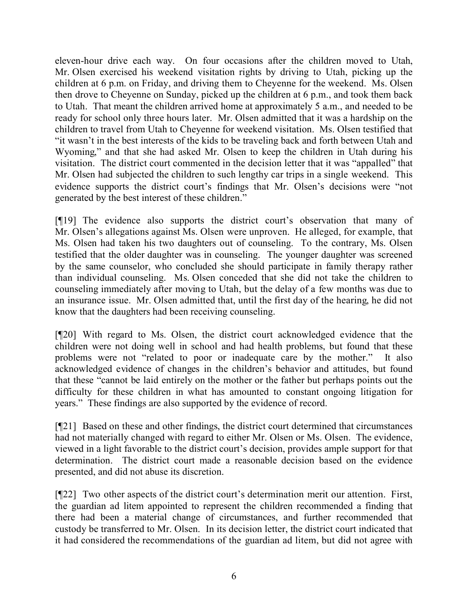eleven-hour drive each way. On four occasions after the children moved to Utah, Mr. Olsen exercised his weekend visitation rights by driving to Utah, picking up the children at 6 p.m. on Friday, and driving them to Cheyenne for the weekend. Ms. Olsen then drove to Cheyenne on Sunday, picked up the children at 6 p.m., and took them back to Utah. That meant the children arrived home at approximately 5 a.m., and needed to be ready for school only three hours later. Mr. Olsen admitted that it was a hardship on the children to travel from Utah to Cheyenne for weekend visitation. Ms. Olsen testified that "it wasn't in the best interests of the kids to be traveling back and forth between Utah and Wyoming," and that she had asked Mr. Olsen to keep the children in Utah during his visitation. The district court commented in the decision letter that it was "appalled" that Mr. Olsen had subjected the children to such lengthy car trips in a single weekend. This evidence supports the district court's findings that Mr. Olsen's decisions were "not generated by the best interest of these children."

[¶19] The evidence also supports the district court's observation that many of Mr. Olsen's allegations against Ms. Olsen were unproven. He alleged, for example, that Ms. Olsen had taken his two daughters out of counseling. To the contrary, Ms. Olsen testified that the older daughter was in counseling. The younger daughter was screened by the same counselor, who concluded she should participate in family therapy rather than individual counseling. Ms. Olsen conceded that she did not take the children to counseling immediately after moving to Utah, but the delay of a few months was due to an insurance issue. Mr. Olsen admitted that, until the first day of the hearing, he did not know that the daughters had been receiving counseling.

[¶20] With regard to Ms. Olsen, the district court acknowledged evidence that the children were not doing well in school and had health problems, but found that these problems were not "related to poor or inadequate care by the mother." It also acknowledged evidence of changes in the children's behavior and attitudes, but found that these "cannot be laid entirely on the mother or the father but perhaps points out the difficulty for these children in what has amounted to constant ongoing litigation for years." These findings are also supported by the evidence of record.

[¶21] Based on these and other findings, the district court determined that circumstances had not materially changed with regard to either Mr. Olsen or Ms. Olsen. The evidence, viewed in a light favorable to the district court's decision, provides ample support for that determination. The district court made a reasonable decision based on the evidence presented, and did not abuse its discretion.

[¶22] Two other aspects of the district court's determination merit our attention. First, the guardian ad litem appointed to represent the children recommended a finding that there had been a material change of circumstances, and further recommended that custody be transferred to Mr. Olsen. In its decision letter, the district court indicated that it had considered the recommendations of the guardian ad litem, but did not agree with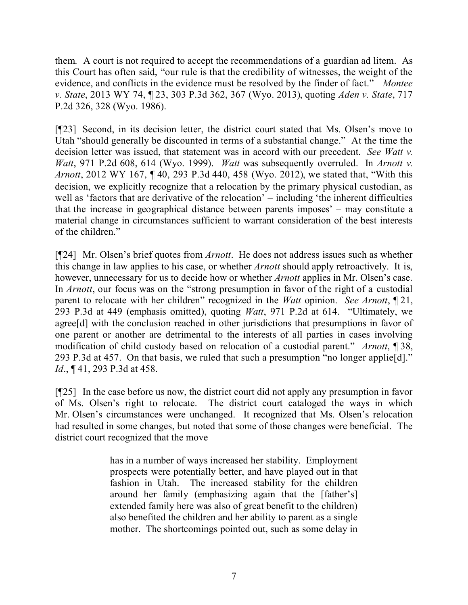them. A court is not required to accept the recommendations of a guardian ad litem. As this Court has often said, "our rule is that the credibility of witnesses, the weight of the evidence, and conflicts in the evidence must be resolved by the finder of fact." *Montee v. State*, 2013 WY 74, ¶ 23, 303 P.3d 362, 367 (Wyo. 2013), quoting *Aden v. State*, 717 P.2d 326, 328 (Wyo. 1986).

[¶23] Second, in its decision letter, the district court stated that Ms. Olsen's move to Utah "should generally be discounted in terms of a substantial change." At the time the decision letter was issued, that statement was in accord with our precedent. *See Watt v. Watt*, 971 P.2d 608, 614 (Wyo. 1999). *Watt* was subsequently overruled. In *Arnott v. Arnott*, 2012 WY 167, ¶ 40, 293 P.3d 440, 458 (Wyo. 2012), we stated that, "With this decision, we explicitly recognize that a relocation by the primary physical custodian, as well as 'factors that are derivative of the relocation' – including 'the inherent difficulties that the increase in geographical distance between parents imposes' – may constitute a material change in circumstances sufficient to warrant consideration of the best interests of the children."

[¶24] Mr. Olsen's brief quotes from *Arnott*. He does not address issues such as whether this change in law applies to his case, or whether *Arnott* should apply retroactively. It is, however, unnecessary for us to decide how or whether *Arnott* applies in Mr. Olsen's case. In *Arnott*, our focus was on the "strong presumption in favor of the right of a custodial parent to relocate with her children" recognized in the *Watt* opinion. *See Arnott*, ¶ 21, 293 P.3d at 449 (emphasis omitted), quoting *Watt*, 971 P.2d at 614. "Ultimately, we agree[d] with the conclusion reached in other jurisdictions that presumptions in favor of one parent or another are detrimental to the interests of all parties in cases involving modification of child custody based on relocation of a custodial parent." *Arnott*, ¶ 38, 293 P.3d at 457. On that basis, we ruled that such a presumption "no longer applie[d]." *Id.*, **[41, 293 P.3d at 458.** 

[¶25] In the case before us now, the district court did not apply any presumption in favor of Ms. Olsen's right to relocate. The district court cataloged the ways in which Mr. Olsen's circumstances were unchanged. It recognized that Ms. Olsen's relocation had resulted in some changes, but noted that some of those changes were beneficial. The district court recognized that the move

> has in a number of ways increased her stability. Employment prospects were potentially better, and have played out in that fashion in Utah. The increased stability for the children around her family (emphasizing again that the [father's] extended family here was also of great benefit to the children) also benefited the children and her ability to parent as a single mother. The shortcomings pointed out, such as some delay in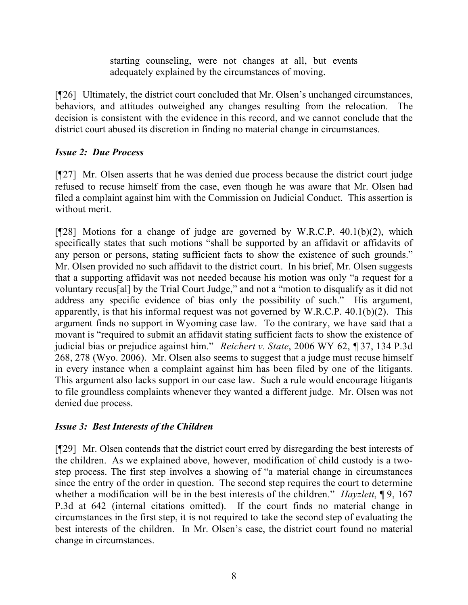starting counseling, were not changes at all, but events adequately explained by the circumstances of moving.

[¶26] Ultimately, the district court concluded that Mr. Olsen's unchanged circumstances, behaviors, and attitudes outweighed any changes resulting from the relocation. The decision is consistent with the evidence in this record, and we cannot conclude that the district court abused its discretion in finding no material change in circumstances.

# *Issue 2: Due Process*

[¶27] Mr. Olsen asserts that he was denied due process because the district court judge refused to recuse himself from the case, even though he was aware that Mr. Olsen had filed a complaint against him with the Commission on Judicial Conduct. This assertion is without merit.

[ $[28]$ ] Motions for a change of judge are governed by W.R.C.P. 40.1(b)(2), which specifically states that such motions "shall be supported by an affidavit or affidavits of any person or persons, stating sufficient facts to show the existence of such grounds." Mr. Olsen provided no such affidavit to the district court. In his brief, Mr. Olsen suggests that a supporting affidavit was not needed because his motion was only "a request for a voluntary recus[al] by the Trial Court Judge," and not a "motion to disqualify as it did not address any specific evidence of bias only the possibility of such." His argument, apparently, is that his informal request was not governed by W.R.C.P. 40.1(b)(2). This argument finds no support in Wyoming case law. To the contrary, we have said that a movant is "required to submit an affidavit stating sufficient facts to show the existence of judicial bias or prejudice against him." *Reichert v. State*, 2006 WY 62, ¶ 37, 134 P.3d 268, 278 (Wyo. 2006). Mr. Olsen also seems to suggest that a judge must recuse himself in every instance when a complaint against him has been filed by one of the litigants. This argument also lacks support in our case law. Such a rule would encourage litigants to file groundless complaints whenever they wanted a different judge. Mr. Olsen was not denied due process.

# *Issue 3: Best Interests of the Children*

[¶29] Mr. Olsen contends that the district court erred by disregarding the best interests of the children. As we explained above, however, modification of child custody is a twostep process. The first step involves a showing of "a material change in circumstances since the entry of the order in question. The second step requires the court to determine whether a modification will be in the best interests of the children." *Hayzlett*, ¶ 9, 167 P.3d at 642 (internal citations omitted). If the court finds no material change in circumstances in the first step, it is not required to take the second step of evaluating the best interests of the children. In Mr. Olsen's case, the district court found no material change in circumstances.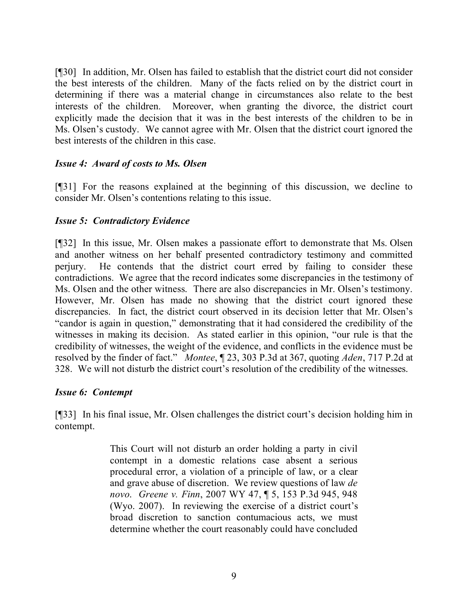[¶30] In addition, Mr. Olsen has failed to establish that the district court did not consider the best interests of the children. Many of the facts relied on by the district court in determining if there was a material change in circumstances also relate to the best interests of the children. Moreover, when granting the divorce, the district court explicitly made the decision that it was in the best interests of the children to be in Ms. Olsen's custody. We cannot agree with Mr. Olsen that the district court ignored the best interests of the children in this case.

### *Issue 4: Award of costs to Ms. Olsen*

[¶31] For the reasons explained at the beginning of this discussion, we decline to consider Mr. Olsen's contentions relating to this issue.

### *Issue 5: Contradictory Evidence*

[¶32] In this issue, Mr. Olsen makes a passionate effort to demonstrate that Ms. Olsen and another witness on her behalf presented contradictory testimony and committed perjury. He contends that the district court erred by failing to consider these contradictions. We agree that the record indicates some discrepancies in the testimony of Ms. Olsen and the other witness. There are also discrepancies in Mr. Olsen's testimony. However, Mr. Olsen has made no showing that the district court ignored these discrepancies. In fact, the district court observed in its decision letter that Mr. Olsen's "candor is again in question," demonstrating that it had considered the credibility of the witnesses in making its decision. As stated earlier in this opinion, "our rule is that the credibility of witnesses, the weight of the evidence, and conflicts in the evidence must be resolved by the finder of fact." *Montee*, ¶ 23, 303 P.3d at 367, quoting *Aden*, 717 P.2d at 328. We will not disturb the district court's resolution of the credibility of the witnesses.

## *Issue 6: Contempt*

[¶33] In his final issue, Mr. Olsen challenges the district court's decision holding him in contempt.

> This Court will not disturb an order holding a party in civil contempt in a domestic relations case absent a serious procedural error, a violation of a principle of law, or a clear and grave abuse of discretion. We review questions of law *de novo*. *Greene v. Finn*, 2007 WY 47, ¶ 5, 153 P.3d 945, 948 (Wyo. 2007). In reviewing the exercise of a district court's broad discretion to sanction contumacious acts, we must determine whether the court reasonably could have concluded